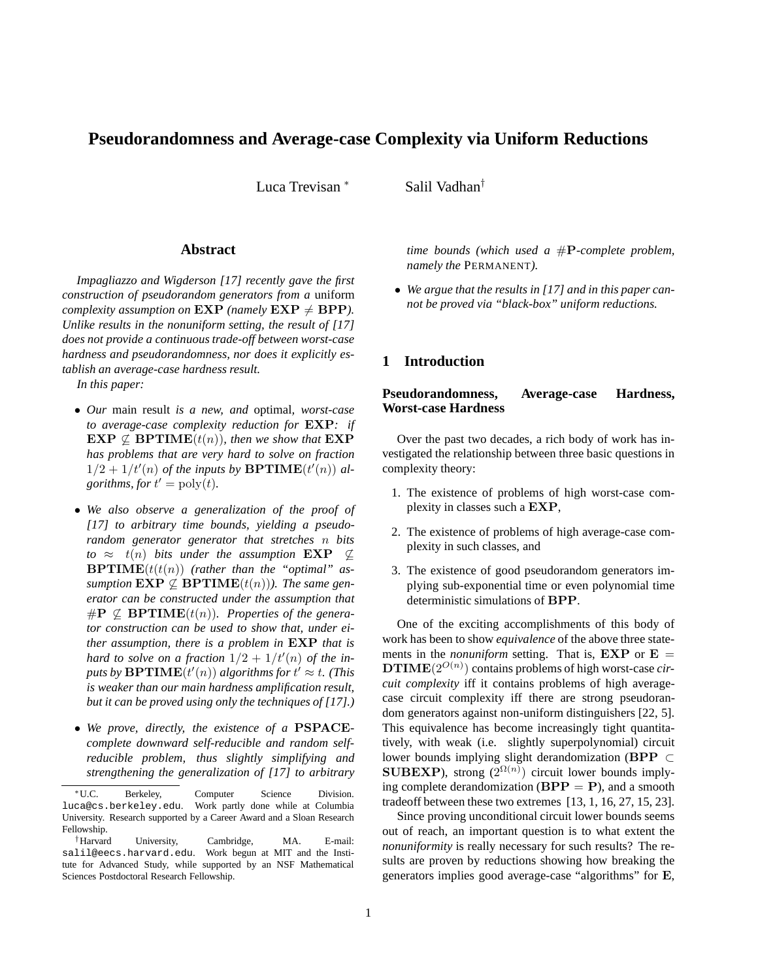# **Pseudorandomness and Average-case Complexity via Uniform Reductions**

Luca Trevisan <sup>∗</sup> Salil Vadhan<sup>†</sup>

#### **Abstract**

*Impagliazzo and Wigderson [17] recently gave the first construction of pseudorandom generators from a* uniform *complexity assumption on*  $\text{EXP}$  *(namely*  $\text{EXP} \neq \text{BPP}$ *). Unlike results in the nonuniform setting, the result of [17] does not provide a continuous trade-off between worst-case hardness and pseudorandomness, nor does it explicitly establish an average-case hardness result.*

*In this paper:*

- *Our* main result *is a new, and* optimal*, worst-case to average-case complexity reduction for* EXP*: if*  $\mathbf{EXP} \nsubseteq \mathbf{BPTIME}(t(n))$ *, then we show that*  $\mathbf{EXP}$ *has problems that are very hard to solve on fraction*  $1/2 + 1/t'(n)$  of the inputs by **BPTIME** $(t'(n))$  al*gorithms, for*  $t' = \text{poly}(t)$ .
- *We also observe a generalization of the proof of [17] to arbitrary time bounds, yielding a pseudorandom generator generator that stretches* n *bits to*  $\approx$  *t*(*n*) *bits under the assumption*  $\mathbf{EXP} \nsubseteq \mathbb{Z}$  $BPTIME(t(t(n))$  (rather than the "optimal" as*sumption*  $\mathbf{EXP} \nsubseteq \mathbf{BPTIME}(t(n))$ *). The same generator can be constructed under the assumption that*  $\# \mathbf{P} \nsubseteq \mathbf{BPTIME}(t(n))$ . Properties of the genera*tor construction can be used to show that, under either assumption, there is a problem in* EXP *that is* hard to solve on a fraction  $1/2 + 1/t'(n)$  of the in $puts$  by  $\textbf{BPTIME}(t'(n))$  algorithms for  $t' \approx t$ . (This *is weaker than our main hardness amplification result, but it can be proved using only the techniques of [17].)*
- *We prove, directly, the existence of a* PSPACE*complete downward self-reducible and random selfreducible problem, thus slightly simplifying and strengthening the generalization of [17] to arbitrary*

*time bounds (which used a* #P*-complete problem, namely the* PERMANENT*).*

• *We argue that the results in [17] and in this paper cannot be proved via "black-box" uniform reductions.*

### **1 Introduction**

## **Pseudorandomness, Average-case Hardness, Worst-case Hardness**

Over the past two decades, a rich body of work has investigated the relationship between three basic questions in complexity theory:

- 1. The existence of problems of high worst-case complexity in classes such a EXP,
- 2. The existence of problems of high average-case complexity in such classes, and
- 3. The existence of good pseudorandom generators implying sub-exponential time or even polynomial time deterministic simulations of BPP.

One of the exciting accomplishments of this body of work has been to show *equivalence* of the above three statements in the *nonuniform* setting. That is,  $EXP$  or  $E =$ DTIME(2O(n) ) contains problems of high worst-case *circuit complexity* iff it contains problems of high averagecase circuit complexity iff there are strong pseudorandom generators against non-uniform distinguishers [22, 5]. This equivalence has become increasingly tight quantitatively, with weak (i.e. slightly superpolynomial) circuit lower bounds implying slight derandomization (BPP ⊂ **SUBEXP**), strong  $(2^{\Omega(n)})$  circuit lower bounds implying complete derandomization ( $BPP = P$ ), and a smooth tradeoff between these two extremes [13, 1, 16, 27, 15, 23].

Since proving unconditional circuit lower bounds seems out of reach, an important question is to what extent the *nonuniformity* is really necessary for such results? The results are proven by reductions showing how breaking the generators implies good average-case "algorithms" for E,

<sup>∗</sup>U.C. Berkeley, Computer Science Division. luca@cs.berkeley.edu. Work partly done while at Columbia University. Research supported by a Career Award and a Sloan Research Fellowship.

<sup>†</sup>Harvard University, Cambridge, MA. E-mail: salil@eecs.harvard.edu. Work begun at MIT and the Institute for Advanced Study, while supported by an NSF Mathematical Sciences Postdoctoral Research Fellowship.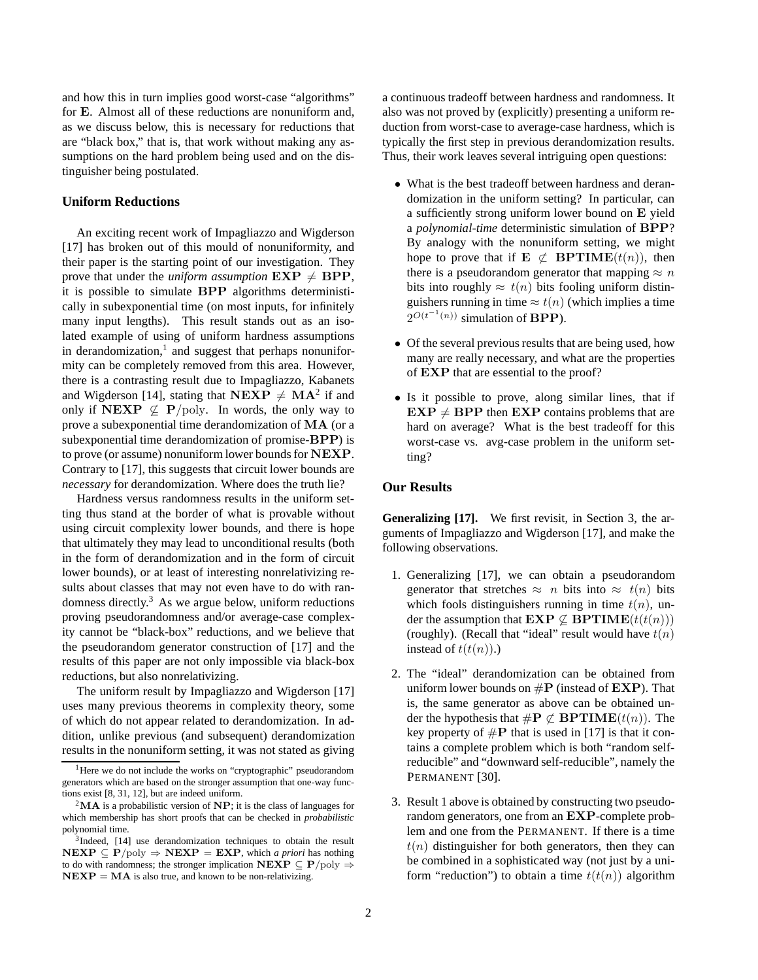and how this in turn implies good worst-case "algorithms" for E. Almost all of these reductions are nonuniform and, as we discuss below, this is necessary for reductions that are "black box," that is, that work without making any assumptions on the hard problem being used and on the distinguisher being postulated.

#### **Uniform Reductions**

An exciting recent work of Impagliazzo and Wigderson [17] has broken out of this mould of nonuniformity, and their paper is the starting point of our investigation. They prove that under the *uniform assumption*  $\mathbf{EXP} \neq \mathbf{BPP}$ , it is possible to simulate BPP algorithms deterministically in subexponential time (on most inputs, for infinitely many input lengths). This result stands out as an isolated example of using of uniform hardness assumptions in derandomization, $<sup>1</sup>$  and suggest that perhaps nonunifor-</sup> mity can be completely removed from this area. However, there is a contrasting result due to Impagliazzo, Kabanets and Wigderson [14], stating that  $NEXP \neq MA^2$  if and only if NEXP  $\nsubseteq$  P/poly. In words, the only way to prove a subexponential time derandomization of MA (or a subexponential time derandomization of promise-BPP) is to prove (or assume) nonuniform lower bounds for NEXP. Contrary to [17], this suggests that circuit lower bounds are *necessary* for derandomization. Where does the truth lie?

Hardness versus randomness results in the uniform setting thus stand at the border of what is provable without using circuit complexity lower bounds, and there is hope that ultimately they may lead to unconditional results (both in the form of derandomization and in the form of circuit lower bounds), or at least of interesting nonrelativizing results about classes that may not even have to do with randomness directly. $3$  As we argue below, uniform reductions proving pseudorandomness and/or average-case complexity cannot be "black-box" reductions, and we believe that the pseudorandom generator construction of [17] and the results of this paper are not only impossible via black-box reductions, but also nonrelativizing.

The uniform result by Impagliazzo and Wigderson [17] uses many previous theorems in complexity theory, some of which do not appear related to derandomization. In addition, unlike previous (and subsequent) derandomization results in the nonuniform setting, it was not stated as giving a continuous tradeoff between hardness and randomness. It also was not proved by (explicitly) presenting a uniform reduction from worst-case to average-case hardness, which is typically the first step in previous derandomization results. Thus, their work leaves several intriguing open questions:

- What is the best tradeoff between hardness and derandomization in the uniform setting? In particular, can a sufficiently strong uniform lower bound on E yield a *polynomial-time* deterministic simulation of BPP? By analogy with the nonuniform setting, we might hope to prove that if  $E \nsubseteq BPTIME(t(n))$ , then there is a pseudorandom generator that mapping  $\approx n$ bits into roughly  $\approx t(n)$  bits fooling uniform distinguishers running in time  $\approx t(n)$  (which implies a time  $2^{O(t^{-1}(n))}$  simulation of **BPP**).
- Of the several previous results that are being used, how many are really necessary, and what are the properties of EXP that are essential to the proof?
- Is it possible to prove, along similar lines, that if  $EXP \neq BPP$  then  $EXP$  contains problems that are hard on average? What is the best tradeoff for this worst-case vs. avg-case problem in the uniform setting?

#### **Our Results**

**Generalizing [17].** We first revisit, in Section 3, the arguments of Impagliazzo and Wigderson [17], and make the following observations.

- 1. Generalizing [17], we can obtain a pseudorandom generator that stretches  $\approx n$  bits into  $\approx t(n)$  bits which fools distinguishers running in time  $t(n)$ , under the assumption that  $\mathbf{EXP} \not\subseteq \mathbf{BPTIME}(t(t(n)))$ (roughly). (Recall that "ideal" result would have  $t(n)$ instead of  $t(t(n))$ .)
- 2. The "ideal" derandomization can be obtained from uniform lower bounds on  $\#P$  (instead of  $EXP$ ). That is, the same generator as above can be obtained under the hypothesis that  $\#\mathbf{P} \not\subset \mathbf{BPTIME}(t(n))$ . The key property of  $\#P$  that is used in [17] is that it contains a complete problem which is both "random selfreducible" and "downward self-reducible", namely the PERMANENT<sup>[30]</sup>.
- 3. Result 1 above is obtained by constructing two pseudorandom generators, one from an EXP-complete problem and one from the PERMANENT. If there is a time  $t(n)$  distinguisher for both generators, then they can be combined in a sophisticated way (not just by a uniform "reduction") to obtain a time  $t(t(n))$  algorithm

<sup>&</sup>lt;sup>1</sup>Here we do not include the works on "cryptographic" pseudorandom generators which are based on the stronger assumption that one-way functions exist [8, 31, 12], but are indeed uniform.

<sup>&</sup>lt;sup>2</sup>MA is a probabilistic version of NP; it is the class of languages for which membership has short proofs that can be checked in *probabilistic* polynomial time.

<sup>&</sup>lt;sup>3</sup>Indeed, [14] use derandomization techniques to obtain the result  $NEXP \subseteq P/poly \Rightarrow NEXP = EXP$ , which *a priori* has nothing to do with randomness; the stronger implication  $NEXP \subseteq P/poly \Rightarrow$  $NEXP = MA$  is also true, and known to be non-relativizing.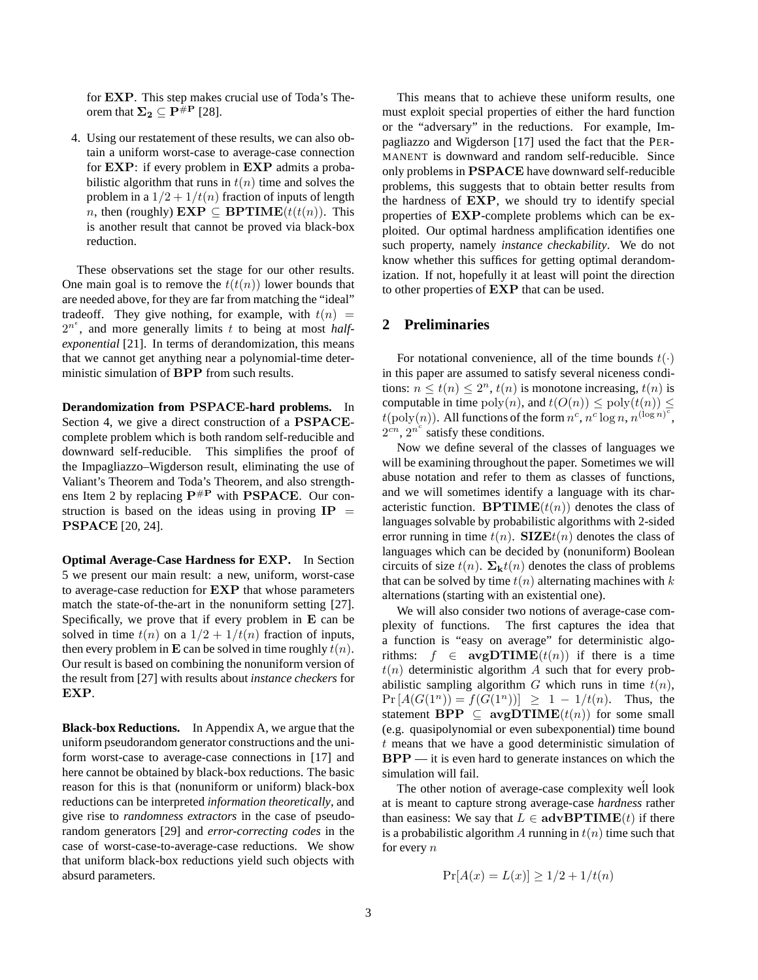for EXP. This step makes crucial use of Toda's Theorem that  $\Sigma_2 \subseteq \overline{P^{\#P}}$  [28].

4. Using our restatement of these results, we can also obtain a uniform worst-case to average-case connection for EXP: if every problem in EXP admits a probabilistic algorithm that runs in  $t(n)$  time and solves the problem in a  $1/2 + 1/t(n)$  fraction of inputs of length *n*, then (roughly)  $\mathbf{EXP} \subseteq \mathbf{BPTIME}(t(t(n))$ . This is another result that cannot be proved via black-box reduction.

These observations set the stage for our other results. One main goal is to remove the  $t(t(n))$  lower bounds that are needed above, for they are far from matching the "ideal" tradeoff. They give nothing, for example, with  $t(n)$  $2^{n^{\epsilon}}$ , and more generally limits t to being at most *halfexponential* [21]. In terms of derandomization, this means that we cannot get anything near a polynomial-time deterministic simulation of BPP from such results.

**Derandomization from** PSPACE**-hard problems.** In Section 4, we give a direct construction of a PSPACEcomplete problem which is both random self-reducible and downward self-reducible. This simplifies the proof of the Impagliazzo–Wigderson result, eliminating the use of Valiant's Theorem and Toda's Theorem, and also strengthens Item 2 by replacing  $P^{\#P}$  with PSPACE. Our construction is based on the ideas using in proving  $IP =$ PSPACE [20, 24].

**Optimal Average-Case Hardness for** EXP**.** In Section 5 we present our main result: a new, uniform, worst-case to average-case reduction for EXP that whose parameters match the state-of-the-art in the nonuniform setting [27]. Specifically, we prove that if every problem in E can be solved in time  $t(n)$  on a  $1/2 + 1/t(n)$  fraction of inputs, then every problem in E can be solved in time roughly  $t(n)$ . Our result is based on combining the nonuniform version of the result from [27] with results about *instance checkers* for EXP.

**Black-box Reductions.** In Appendix A, we argue that the uniform pseudorandom generator constructions and the uniform worst-case to average-case connections in [17] and here cannot be obtained by black-box reductions. The basic reason for this is that (nonuniform or uniform) black-box reductions can be interpreted *information theoretically*, and give rise to *randomness extractors* in the case of pseudorandom generators [29] and *error-correcting codes* in the case of worst-case-to-average-case reductions. We show that uniform black-box reductions yield such objects with absurd parameters.

This means that to achieve these uniform results, one must exploit special properties of either the hard function or the "adversary" in the reductions. For example, Impagliazzo and Wigderson [17] used the fact that the PER-MANENT is downward and random self-reducible. Since only problems in PSPACE have downward self-reducible problems, this suggests that to obtain better results from the hardness of EXP, we should try to identify special properties of EXP-complete problems which can be exploited. Our optimal hardness amplification identifies one such property, namely *instance checkability*. We do not know whether this suffices for getting optimal derandomization. If not, hopefully it at least will point the direction to other properties of EXP that can be used.

## **2 Preliminaries**

For notational convenience, all of the time bounds  $t(\cdot)$ in this paper are assumed to satisfy several niceness conditions:  $n \le t(n) \le 2^n$ ,  $t(n)$  is monotone increasing,  $t(n)$  is computable in time  $\text{poly}(n)$ , and  $t(O(n)) \leq \text{poly}(t(n)) \leq$  $t(\text{poly}(n))$ . All functions of the form  $n^c, n^c \log n, n^{(\log n)^c}$ ,  $2^{cn}$ ,  $2^{n^c}$  satisfy these conditions.

Now we define several of the classes of languages we will be examining throughout the paper. Sometimes we will abuse notation and refer to them as classes of functions, and we will sometimes identify a language with its characteristic function. **BPTIME** $(t(n))$  denotes the class of languages solvable by probabilistic algorithms with 2-sided error running in time  $t(n)$ . SIZE $t(n)$  denotes the class of languages which can be decided by (nonuniform) Boolean circuits of size  $t(n)$ .  $\Sigma_{\mathbf{k}}t(n)$  denotes the class of problems that can be solved by time  $t(n)$  alternating machines with k alternations (starting with an existential one).

We will also consider two notions of average-case complexity of functions. The first captures the idea that a function is "easy on average" for deterministic algorithms:  $f \in \text{avgDTIME}(t(n))$  if there is a time  $t(n)$  deterministic algorithm A such that for every probabilistic sampling algorithm  $G$  which runs in time  $t(n)$ ,  $Pr[A(G(1^n))] = f(G(1^n))] \ge 1 - 1/t(n)$ . Thus, the statement  $\mathbf{BPP} \subseteq \mathbf{avgDTIME}(t(n))$  for some small (e.g. quasipolynomial or even subexponential) time bound t means that we have a good deterministic simulation of  $BPP$  — it is even hard to generate instances on which the simulation will fail.

The other notion of average-case complexity well look at is meant to capture strong average-case *hardness* rather than easiness: We say that  $L \in \text{advBPTIME}(t)$  if there is a probabilistic algorithm A running in  $t(n)$  time such that for every  $n$ 

$$
Pr[A(x) = L(x)] \ge 1/2 + 1/t(n)
$$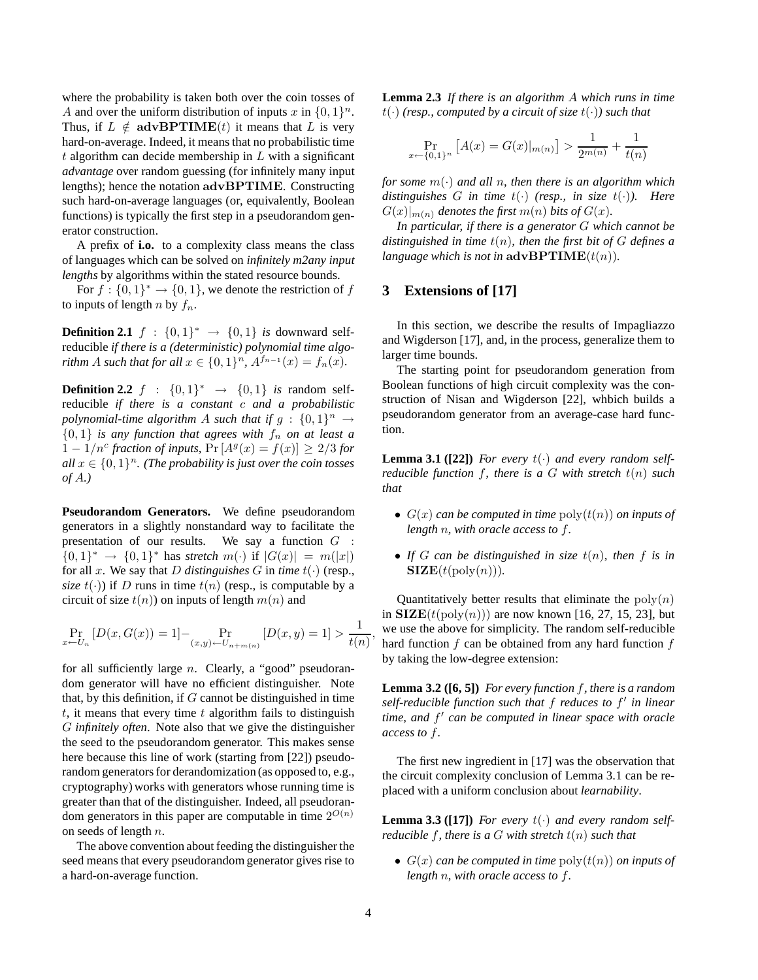where the probability is taken both over the coin tosses of A and over the uniform distribution of inputs x in  $\{0, 1\}^n$ . Thus, if  $L \notin \text{advBPTIME}(t)$  it means that L is very hard-on-average. Indeed, it means that no probabilistic time  $t$  algorithm can decide membership in  $L$  with a significant *advantage* over random guessing (for infinitely many input lengths); hence the notation advBPTIME. Constructing such hard-on-average languages (or, equivalently, Boolean functions) is typically the first step in a pseudorandom generator construction.

A prefix of **i.o.** to a complexity class means the class of languages which can be solved on *infinitely m2any input lengths* by algorithms within the stated resource bounds.

For  $f: \{0,1\}^* \to \{0,1\}$ , we denote the restriction of f to inputs of length n by  $f_n$ .

**Definition 2.1**  $f : \{0,1\}^* \rightarrow \{0,1\}$  *is* downward selfreducible *if there is a (deterministic) polynomial time algorithm A such that for all*  $x \in \{0, 1\}^n$ ,  $A^{f_{n-1}}(x) = f_n(x)$ *.* 

**Definition 2.2**  $f : \{0,1\}^* \to \{0,1\}$  *is* random selfreducible *if there is a constant* c *and a probabilistic* polynomial-time algorithm A such that if  $g: \{0,1\}^n \to$  $\{0, 1\}$  *is any function that agrees with*  $f_n$  *on at least a*  $1 - 1/n^c$  fraction of inputs,  $\Pr[A^g(x) = f(x)] \geq 2/3$  for  $all\ x \in \{0,1\}^n$ . (The probability is just over the coin tosses *of* A*.)*

**Pseudorandom Generators.** We define pseudorandom generators in a slightly nonstandard way to facilitate the presentation of our results. We say a function  $G$ : {0, 1}<sup>\*</sup> → {0, 1}<sup>\*</sup> has *stretch* m(·) if  $|G(x)| = m(|x|)$ for all x. We say that D distinguishes G in time  $t(\cdot)$  (resp., *size*  $t(\cdot)$  *if D* runs in time  $t(n)$  (resp., is computable by a circuit of size  $t(n)$ ) on inputs of length  $m(n)$  and

$$
\Pr_{x \leftarrow U_n} \left[ D(x, G(x)) = 1 \right] - \Pr_{(x, y) \leftarrow U_{n+m(n)}} \left[ D(x, y) = 1 \right] > \frac{1}{t(n)},
$$

for all sufficiently large n. Clearly, a "good" pseudorandom generator will have no efficient distinguisher. Note that, by this definition, if  $G$  cannot be distinguished in time  $t$ , it means that every time  $t$  algorithm fails to distinguish G *infinitely often*. Note also that we give the distinguisher the seed to the pseudorandom generator. This makes sense here because this line of work (starting from [22]) pseudorandom generators for derandomization (as opposed to, e.g., cryptography) works with generators whose running time is greater than that of the distinguisher. Indeed, all pseudorandom generators in this paper are computable in time  $2^{O(n)}$ on seeds of length n.

The above convention about feeding the distinguisher the seed means that every pseudorandom generator gives rise to a hard-on-average function.

**Lemma 2.3** *If there is an algorithm* A *which runs in time*  $t(\cdot)$  (resp., computed by a circuit of size  $t(\cdot)$ ) such that

$$
\Pr_{x \leftarrow \{0,1\}^n} \left[ A(x) = G(x)|_{m(n)} \right] > \frac{1}{2^{m(n)}} + \frac{1}{t(n)}
$$

*for some* m(·) *and all* n*, then there is an algorithm which distinguishes* G *in time*  $t(\cdot)$  (resp., *in size*  $t(\cdot)$ ). Here  $G(x)|_{m(n)}$  *denotes the first*  $m(n)$  *bits of*  $G(x)$ *.* 

*In particular, if there is a generator* G *which cannot be distinguished in time* t(n)*, then the first bit of* G *defines a language which is not in*  $\mathbf{advBPTIME}(t(n))$ *.* 

## **3 Extensions of [17]**

In this section, we describe the results of Impagliazzo and Wigderson [17], and, in the process, generalize them to larger time bounds.

The starting point for pseudorandom generation from Boolean functions of high circuit complexity was the construction of Nisan and Wigderson [22], whbich builds a pseudorandom generator from an average-case hard function.

**Lemma 3.1 ([22])** For every  $t(\cdot)$  and every random self*reducible function* f*, there is a* G *with stretch* t(n) *such that*

- $G(x)$  *can be computed in time*  $\text{poly}(t(n))$  *on inputs of length* n*, with oracle access to* f*.*
- *If* G *can be distinguished in size* t(n)*, then* f *is in*  $\textbf{SIZE}(t(\text{poly}(n))).$

Quantitatively better results that eliminate the  $poly(n)$ in  $SLZE(t(\text{poly}(n)))$  are now known [16, 27, 15, 23], but we use the above for simplicity. The random self-reducible hard function  $f$  can be obtained from any hard function  $f$ by taking the low-degree extension:

**Lemma 3.2 ([6, 5])** *For every function* f*, there is a random self-reducible function such that* f *reduces to* f ′ *in linear time, and* f ′ *can be computed in linear space with oracle access to* f*.*

The first new ingredient in [17] was the observation that the circuit complexity conclusion of Lemma 3.1 can be replaced with a uniform conclusion about *learnability*.

**Lemma 3.3 ([17])** *For every*  $t(\cdot)$  *and every random selfreducible* f, there is a G with stretch  $t(n)$  such that

•  $G(x)$  *can be computed in time*  $\text{poly}(t(n))$  *on inputs of length* n*, with oracle access to* f*.*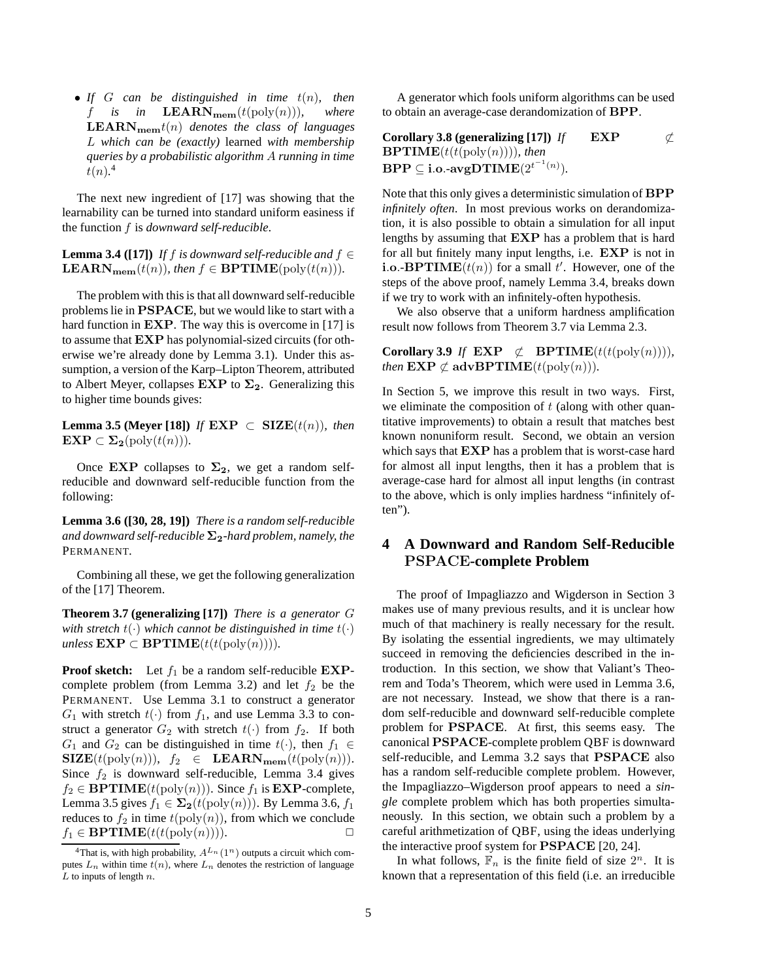• *If* G *can be distinguished in time* t(n)*, then* f is in  $\textbf{LEARN}_{\textbf{mem}}(t(\text{poly}(n)))$ , where  $\mathbf{LEARN}_{\mathbf{mem}}t(n)$  *denotes the class of languages* L *which can be (exactly)* learned *with membership queries by a probabilistic algorithm* A *running in time*  $t(n)$ <sup>4</sup>

The next new ingredient of [17] was showing that the learnability can be turned into standard uniform easiness if the function f is *downward self-reducible*.

**Lemma 3.4 ([17])** *If* f *is downward self-reducible and*  $f \in$ **LEARN**<sub>mem</sub>( $t(n)$ )*, then*  $f \in \text{BPTIME}(\text{poly}(t(n)))$ *.* 

The problem with this is that all downward self-reducible problems lie in PSPACE, but we would like to start with a hard function in **EXP**. The way this is overcome in [17] is to assume that EXP has polynomial-sized circuits (for otherwise we're already done by Lemma 3.1). Under this assumption, a version of the Karp–Lipton Theorem, attributed to Albert Meyer, collapses  $EXP$  to  $\Sigma_2$ . Generalizing this to higher time bounds gives:

**Lemma 3.5 (Meyer [18])** *If*  $\mathbf{EXP} \subset \mathbf{SIZE}(t(n))$ *, then*  $\mathbf{EXP} \subset \mathbf{\Sigma_2}(\text{poly}(t(n))).$ 

Once EXP collapses to  $\Sigma_2$ , we get a random selfreducible and downward self-reducible function from the following:

**Lemma 3.6 ([30, 28, 19])** *There is a random self-reducible and downward self-reducible*  $\Sigma_2$ -hard problem, namely, the PERMANENT*.*

Combining all these, we get the following generalization of the [17] Theorem.

**Theorem 3.7 (generalizing [17])** *There is a generator* G *with stretch*  $t(\cdot)$  *which cannot be distinguished in time*  $t(\cdot)$  $unless$   $\mathbf{EXP} \subset \mathbf{BPTIME}(t(t(\text{poly}(n))))$ *.* 

**Proof sketch:** Let  $f_1$  be a random self-reducible  $EXP$ complete problem (from Lemma 3.2) and let  $f_2$  be the PERMANENT. Use Lemma 3.1 to construct a generator  $G_1$  with stretch  $t(\cdot)$  from  $f_1$ , and use Lemma 3.3 to construct a generator  $G_2$  with stretch  $t(\cdot)$  from  $f_2$ . If both  $G_1$  and  $G_2$  can be distinguished in time  $t(\cdot)$ , then  $f_1 \in$  $\text{SIZE}(t(\text{poly}(n)))$ ,  $f_2 \in \text{LEARN}_{\text{mem}}(t(\text{poly}(n))).$ Since  $f_2$  is downward self-reducible, Lemma 3.4 gives  $f_2 \in \mathbf{BPTIME}(t(\text{poly}(n)))$ . Since  $f_1$  is  $\mathbf{EXP-complete}$ , Lemma 3.5 gives  $f_1 \in \Sigma_2(t(\text{poly}(n)))$ . By Lemma 3.6,  $f_1$ reduces to  $f_2$  in time  $t(\text{poly}(n))$ , from which we conclude  $f_1 \in \text{BPTIME}(t(t(\text{poly}(n)))).$ 

A generator which fools uniform algorithms can be used to obtain an average-case derandomization of BPP.

**Corollary 3.8 (generalizing [17])** *If* **EXP** 
$$
\not\subset
$$
 **BPTIME** $(t(t(\text{poly}(n))))$ , *then* **BPP**  $\subseteq$  **i.o.**-**avgDTIME** $(2^{t^{-1}(n)})$ .

Note that this only gives a deterministic simulation of BPP *infinitely often*. In most previous works on derandomization, it is also possible to obtain a simulation for all input lengths by assuming that EXP has a problem that is hard for all but finitely many input lengths, i.e. EXP is not in **i.o.-BPTIME** $(t(n))$  for a small t'. However, one of the steps of the above proof, namely Lemma 3.4, breaks down if we try to work with an infinitely-often hypothesis.

We also observe that a uniform hardness amplification result now follows from Theorem 3.7 via Lemma 2.3.

**Corollary 3.9** *If* **EXP**  $\not\subset$  **BPTIME**( $t(t(\text{poly}(n))))$ *, then*  $\mathbf{EXP} \not\subset \mathbf{advBPTIME}(t(\text{poly}(n))).$ 

In Section 5, we improve this result in two ways. First, we eliminate the composition of  $t$  (along with other quantitative improvements) to obtain a result that matches best known nonuniform result. Second, we obtain an version which says that EXP has a problem that is worst-case hard for almost all input lengths, then it has a problem that is average-case hard for almost all input lengths (in contrast to the above, which is only implies hardness "infinitely often").

## **4 A Downward and Random Self-Reducible** PSPACE**-complete Problem**

The proof of Impagliazzo and Wigderson in Section 3 makes use of many previous results, and it is unclear how much of that machinery is really necessary for the result. By isolating the essential ingredients, we may ultimately succeed in removing the deficiencies described in the introduction. In this section, we show that Valiant's Theorem and Toda's Theorem, which were used in Lemma 3.6, are not necessary. Instead, we show that there is a random self-reducible and downward self-reducible complete problem for PSPACE. At first, this seems easy. The canonical PSPACE-complete problem QBF is downward self-reducible, and Lemma 3.2 says that PSPACE also has a random self-reducible complete problem. However, the Impagliazzo–Wigderson proof appears to need a *single* complete problem which has both properties simultaneously. In this section, we obtain such a problem by a careful arithmetization of QBF, using the ideas underlying the interactive proof system for PSPACE [20, 24].

In what follows,  $\mathbb{F}_n$  is the finite field of size  $2^n$ . It is known that a representation of this field (i.e. an irreducible

<sup>&</sup>lt;sup>4</sup>That is, with high probability,  $A^{L_n}(1^n)$  outputs a circuit which computes  $L_n$  within time  $t(n)$ , where  $L_n$  denotes the restriction of language  $L$  to inputs of length  $n$ .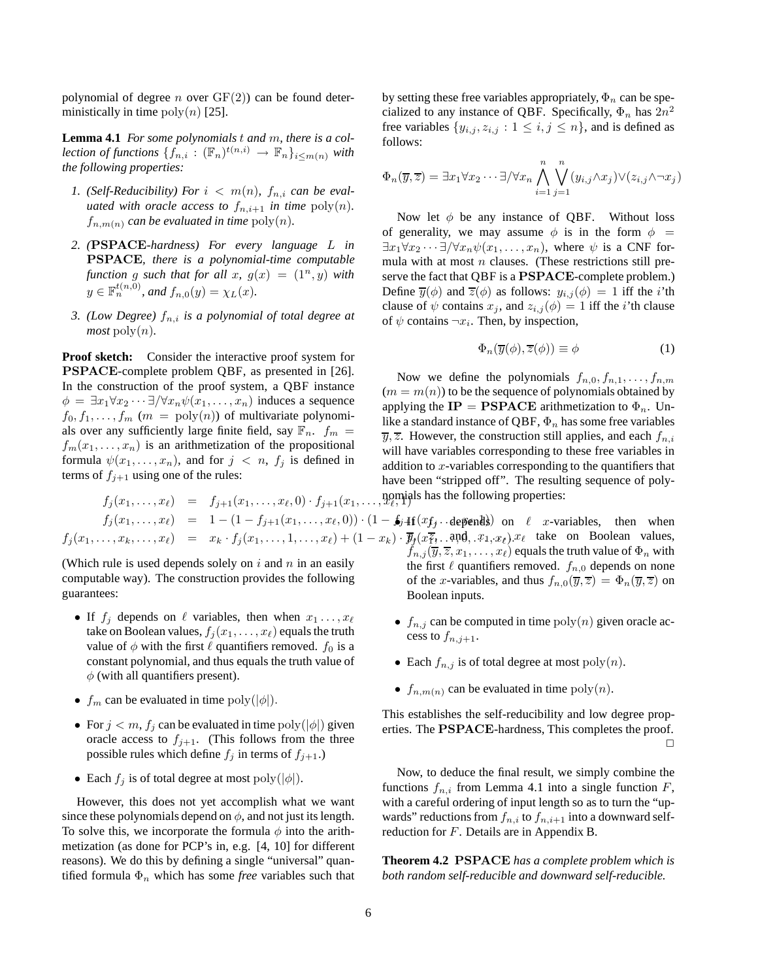polynomial of degree *n* over  $GF(2)$  can be found deterministically in time  $poly(n)$  [25].

**Lemma 4.1** *For some polynomials* t *and* m*, there is a collection of functions*  $\{f_{n,i} : (\mathbb{F}_n)^{t(n,i)} \to \mathbb{F}_n\}_{i \leq m(n)}$  *with the following properties:*

- *1.* (Self-Reducibility) For  $i < m(n)$ ,  $f_{n,i}$  can be eval*uated with oracle access to*  $f_{n,i+1}$  *in time*  $poly(n)$ *.*  $f_{n,m(n)}$  *can be evaluated in time*  $\text{poly}(n)$ *.*
- *2. (*PSPACE*-hardness) For every language* L *in* PSPACE*, there is a polynomial-time computable function* g *such that for all x,*  $g(x) = (1^n, y)$  *with*  $y \in \mathbb{F}_n^{t(n,0)}$ , and  $f_{n,0}(y) = \chi_L(x)$ .
- *3. (Low Degree)* fn,i *is a polynomial of total degree at*  $most$  poly $(n)$ *.*

**Proof sketch:** Consider the interactive proof system for PSPACE-complete problem QBF, as presented in [26]. In the construction of the proof system, a QBF instance  $\phi = \exists x_1 \forall x_2 \cdots \exists / \forall x_n \psi(x_1, \ldots, x_n)$  induces a sequence  $f_0, f_1, \ldots, f_m$  ( $m = \text{poly}(n)$ ) of multivariate polynomials over any sufficiently large finite field, say  $\mathbb{F}_n$ .  $f_m =$  $f_m(x_1, \ldots, x_n)$  is an arithmetization of the propositional formula  $\psi(x_1, \ldots, x_n)$ , and for  $j \lt n$ ,  $f_j$  is defined in terms of  $f_{j+1}$  using one of the rules:

 $f_i(x_1,\ldots,x_\ell) = f_{i+1}(x_1,\ldots,x_\ell,0) \cdot f_{i+1}(x_1,\ldots,$  $f_j(x_1,\ldots,x_\ell) = 1 - (1 - f_{j+1}(x_1,\ldots,x_\ell,0)) \cdot (1 - f_{j+1}(x_f \cdot \ldots d\epsilon))$  on  $\ell$  x-variables, then when  $f_j(x_1,\ldots,x_k,\ldots,x_\ell) = x_k \cdot f_j(x_1,\ldots,1,\ldots,x_\ell) + (1-x_k) \cdot \overline{y}_j(x_1^2,\ldots,x_\ell)$ ,  $x_1,x_2,\ldots,x_\ell$  take on Boolean values, nomials has the following properties:

(Which rule is used depends solely on  $i$  and  $n$  in an easily computable way). The construction provides the following guarantees:

- If  $f_j$  depends on  $\ell$  variables, then when  $x_1 \ldots, x_\ell$ take on Boolean values,  $f_j(x_1, \ldots, x_\ell)$  equals the truth value of  $\phi$  with the first  $\ell$  quantifiers removed.  $f_0$  is a constant polynomial, and thus equals the truth value of  $\phi$  (with all quantifiers present).
- $f_m$  can be evaluated in time  $\text{poly}(|\phi|)$ .
- For  $j < m$ ,  $f_j$  can be evaluated in time  $poly(|\phi|)$  given oracle access to  $f_{j+1}$ . (This follows from the three possible rules which define  $f_j$  in terms of  $f_{j+1}$ .)
- Each  $f_j$  is of total degree at most poly $(|\phi|)$ .

However, this does not yet accomplish what we want since these polynomials depend on  $\phi$ , and not just its length. To solve this, we incorporate the formula  $\phi$  into the arithmetization (as done for PCP's in, e.g. [4, 10] for different reasons). We do this by defining a single "universal" quantified formula  $\Phi_n$  which has some *free* variables such that by setting these free variables appropriately,  $\Phi_n$  can be specialized to any instance of QBF. Specifically,  $\Phi_n$  has  $2n^2$ free variables  $\{y_{i,j}, z_{i,j} : 1 \leq i, j \leq n\}$ , and is defined as follows:

$$
\Phi_n(\overline{y},\overline{z}) = \exists x_1 \forall x_2 \cdots \exists / \forall x_n \bigwedge_{i=1}^n \bigvee_{j=1}^n (y_{i,j} \wedge x_j) \vee (z_{i,j} \wedge \neg x_j)
$$

Now let  $\phi$  be any instance of QBF. Without loss of generality, we may assume  $\phi$  is in the form  $\phi =$  $\exists x_1 \forall x_2 \cdots \exists / \forall x_n \psi(x_1, \ldots, x_n)$ , where  $\psi$  is a CNF formula with at most  $n$  clauses. (These restrictions still preserve the fact that QBF is a PSPACE-complete problem.) Define  $\overline{y}(\phi)$  and  $\overline{z}(\phi)$  as follows:  $y_{i,j}(\phi) = 1$  iff the *i*'th clause of  $\psi$  contains  $x_j$ , and  $z_{i,j}(\phi) = 1$  iff the *i*'th clause of  $\psi$  contains  $\neg x_i$ . Then, by inspection,

$$
\Phi_n(\overline{y}(\phi), \overline{z}(\phi)) \equiv \phi \tag{1}
$$

Now we define the polynomials  $f_{n,0}, f_{n,1}, \ldots, f_{n,m}$  $(m = m(n))$  to be the sequence of polynomials obtained by applying the  $IP = PSPACE$  arithmetization to  $\Phi_n$ . Unlike a standard instance of QBF,  $\Phi_n$  has some free variables  $\overline{y}, \overline{z}$ . However, the construction still applies, and each  $f_{n,i}$ will have variables corresponding to these free variables in addition to x-variables corresponding to the quantifiers that have been "stripped off". The resulting sequence of poly-

- $f_{n,j}(\overline{y}, \overline{z}, x_1, \ldots, x_\ell)$  equals the truth value of  $\Phi_n$  with the first  $\ell$  quantifiers removed.  $f_{n,0}$  depends on none of the x-variables, and thus  $f_{n,0}(\overline{y},\overline{z}) = \Phi_n(\overline{y},\overline{z})$  on Boolean inputs.
	- $f_{n,j}$  can be computed in time  $poly(n)$  given oracle access to  $f_{n,j+1}$ .
	- Each  $f_{n,j}$  is of total degree at most  $poly(n)$ .
	- $f_{n,m(n)}$  can be evaluated in time  $\text{poly}(n)$ .

This establishes the self-reducibility and low degree properties. The PSPACE-hardness, This completes the proof. ✷

Now, to deduce the final result, we simply combine the functions  $f_{n,i}$  from Lemma 4.1 into a single function F, with a careful ordering of input length so as to turn the "upwards" reductions from  $f_{n,i}$  to  $f_{n,i+1}$  into a downward selfreduction for F. Details are in Appendix B.

**Theorem 4.2** PSPACE *has a complete problem which is both random self-reducible and downward self-reducible.*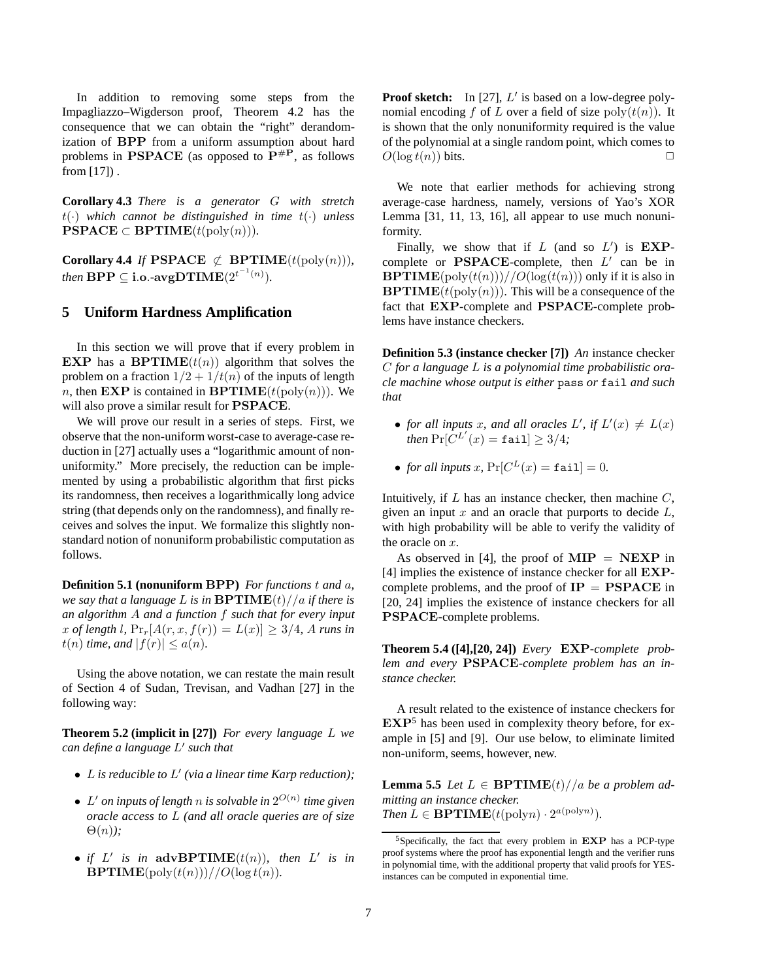In addition to removing some steps from the Impagliazzo–Wigderson proof, Theorem 4.2 has the consequence that we can obtain the "right" derandomization of BPP from a uniform assumption about hard problems in PSPACE (as opposed to  $P^{\#P}$ , as follows from  $[17]$ .

**Corollary 4.3** *There is a generator* G *with stretch* t(·) *which cannot be distinguished in time* t(·) *unless*  $\textbf{PSPACE} \subset \textbf{BPTIME}(t(\text{poly}(n))).$ 

**Corollary 4.4** *If* **PSPACE**  $\not\subset$  **BPTIME**( $t$ (poly(n)))*, then*  $BPP \subseteq i.o.$ - $avgDTIME(2^{t^{-1}(n)})$ .

### **5 Uniform Hardness Amplification**

In this section we will prove that if every problem in **EXP** has a **BPTIME** $(t(n))$  algorithm that solves the problem on a fraction  $1/2 + 1/t(n)$  of the inputs of length *n*, then **EXP** is contained in **BPTIME** $(t(\text{poly}(n)))$ . We will also prove a similar result for PSPACE.

We will prove our result in a series of steps. First, we observe that the non-uniform worst-case to average-case reduction in [27] actually uses a "logarithmic amount of nonuniformity." More precisely, the reduction can be implemented by using a probabilistic algorithm that first picks its randomness, then receives a logarithmically long advice string (that depends only on the randomness), and finally receives and solves the input. We formalize this slightly nonstandard notion of nonuniform probabilistic computation as follows.

**Definition 5.1 (nonuniform** BPP**)** *For functions* t *and* a*, we say that a language* L *is in*  $BPTIME(t)/a$  *if there is an algorithm* A *and a function* f *such that for every input* x of length l,  $\Pr_{r}[A(r, x, f(r)) = L(x)] \geq 3/4$ , A runs in  $t(n)$  *time, and*  $|f(r)| \leq a(n)$ *.* 

Using the above notation, we can restate the main result of Section 4 of Sudan, Trevisan, and Vadhan [27] in the following way:

**Theorem 5.2 (implicit in [27])** *For every language* L *we can define a language* L ′ *such that*

- L *is reducible to* L ′ *(via a linear time Karp reduction);*
- $L'$  *on inputs of length n is solvable in*  $2^{O(n)}$  *time given oracle access to* L *(and all oracle queries are of size* Θ(n)*);*
- *if*  $L'$  *is in* advBPTIME $(t(n))$ *, then*  $L'$  *is in*  $BPTIME(poly(t(n)))/O(log t(n)).$

Proof sketch: In [27], L' is based on a low-degree polynomial encoding f of L over a field of size  $\text{poly}(t(n))$ . It is shown that the only nonuniformity required is the value of the polynomial at a single random point, which comes to  $O(\log t(n))$  bits.  $\Box$ 

We note that earlier methods for achieving strong average-case hardness, namely, versions of Yao's XOR Lemma [31, 11, 13, 16], all appear to use much nonuniformity.

Finally, we show that if  $L$  (and so  $L'$ ) is  $\mathbf{EXP}$ . complete or  $\mathbf{PSPACE}\text{-complete}$ , then  $L'$  can be in **BPTIME**(poly $(t(n))$ )//O(log( $t(n)$ )) only if it is also in  $BPTIME(t(\text{poly}(n)))$ . This will be a consequence of the fact that EXP-complete and PSPACE-complete problems have instance checkers.

**Definition 5.3 (instance checker [7])** *An* instance checker C *for a language* L *is a polynomial time probabilistic oracle machine whose output is either* pass *or* fail *and such that*

- for all inputs x, and all oracles L', if  $L'(x) \neq L(x)$  $\oint$ *then*  $\Pr[C^{L'}(x) = \texttt{fail}] \geq 3/4;$
- *for all inputs*  $x$ ,  $\Pr[C^L(x) = \texttt{fail}] = 0$ .

Intuitively, if  $L$  has an instance checker, then machine  $C$ , given an input  $x$  and an oracle that purports to decide  $L$ , with high probability will be able to verify the validity of the oracle on  $x$ .

As observed in [4], the proof of  $\text{MIP} = \text{NEXP}$  in [4] implies the existence of instance checker for all EXPcomplete problems, and the proof of  $IP = PSPACE$  in [20, 24] implies the existence of instance checkers for all PSPACE-complete problems.

**Theorem 5.4 ([4],[20, 24])** *Every* EXP*-complete problem and every* PSPACE*-complete problem has an instance checker.*

A result related to the existence of instance checkers for  $EXP<sup>5</sup>$  has been used in complexity theory before, for example in [5] and [9]. Our use below, to eliminate limited non-uniform, seems, however, new.

**Lemma 5.5** *Let*  $L \in \text{BPTIME}(t) // a$  *be a problem admitting an instance checker. Then*  $L \in \mathbf{BPTIME}(t(\text{poly} n) \cdot 2^{a(\text{poly} n)})$ *.* 

<sup>5</sup>Specifically, the fact that every problem in EXP has a PCP-type proof systems where the proof has exponential length and the verifier runs in polynomial time, with the additional property that valid proofs for YESinstances can be computed in exponential time.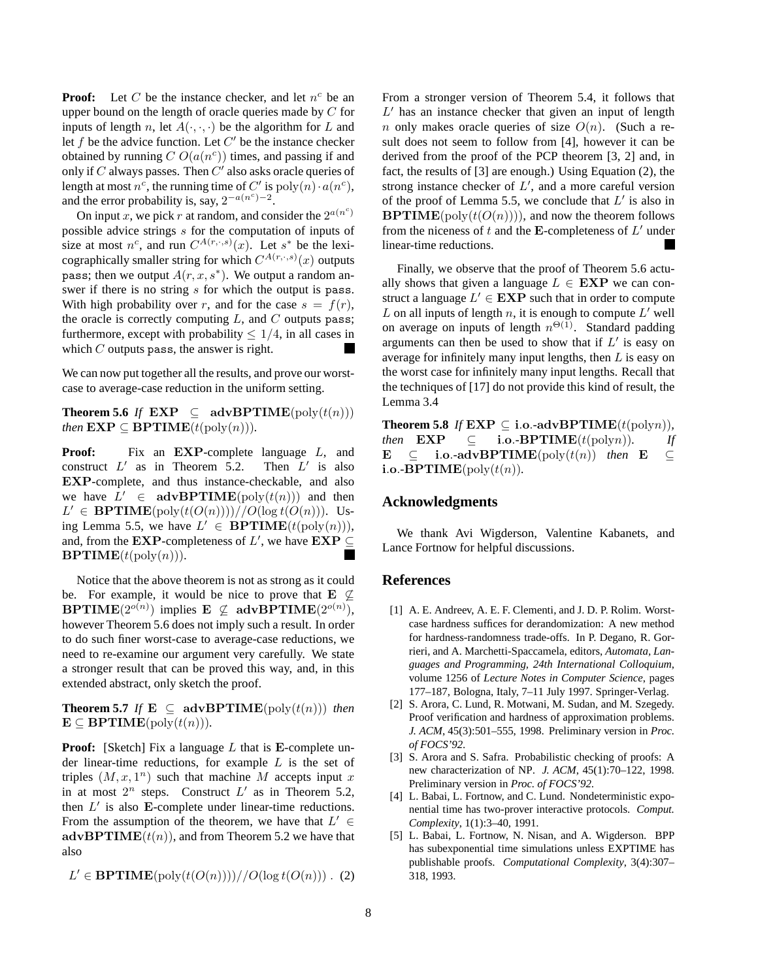**Proof:** Let C be the instance checker, and let  $n^c$  be an upper bound on the length of oracle queries made by C for inputs of length n, let  $A(\cdot, \cdot, \cdot)$  be the algorithm for L and let  $f$  be the advice function. Let  $C'$  be the instance checker obtained by running  $C O(a(n^c))$  times, and passing if and only if  $C$  always passes. Then  $C'$  also asks oracle queries of length at most  $n^c$ , the running time of C' is  $poly(n) \cdot a(n^c)$ , and the error probability is, say,  $2^{-a(n^c)-2}$ .

On input x, we pick r at random, and consider the  $2^{a(n^c)}$ possible advice strings s for the computation of inputs of size at most  $n^c$ , and run  $C^{A(r,\cdot,s)}(x)$ . Let  $s^*$  be the lexicographically smaller string for which  $C^{A(r,\cdot,s)}(x)$  outputs pass; then we output  $A(r, x, s^*)$ . We output a random answer if there is no string s for which the output is pass. With high probability over r, and for the case  $s = f(r)$ , the oracle is correctly computing  $L$ , and  $C$  outputs pass; furthermore, except with probability  $\leq 1/4$ , in all cases in which  $C$  outputs pass, the answer is right.

We can now put together all the results, and prove our worstcase to average-case reduction in the uniform setting.

**Theorem 5.6** *If*  $\mathbf{EXP} \subseteq \text{advBPTIME}(\text{poly}(t(n)))$ *then*  $\mathbf{EXP} \subseteq \mathbf{BPTIME}(t(\text{poly}(n))).$ 

**Proof:** Fix an **EXP**-complete language L, and construct  $L'$  as in Theorem 5.2. Then  $L$ ′ is also EXP-complete, and thus instance-checkable, and also we have  $L' \in \text{advBPTIME}(\text{poly}(t(n)))$  and then  $L' \in \mathbf{BPTIME}(\text{poly}(t(O(n))))/O(\log t(O(n))).$  Using Lemma 5.5, we have  $L' \in \mathbf{BPTIME}(t(\text{poly}(n))),$ and, from the EXP-completeness of  $L'$ , we have EXP  $\subseteq$  $BPTIME(t(\text{poly}(n))).$ 

Notice that the above theorem is not as strong as it could be. For example, it would be nice to prove that  $E \nsubseteq$ **BPTIME** $(2^{o(n)})$  implies **E**  $\subsetneq$  **advBPTIME** $(2^{o(n)})$ , however Theorem 5.6 does not imply such a result. In order to do such finer worst-case to average-case reductions, we need to re-examine our argument very carefully. We state a stronger result that can be proved this way, and, in this extended abstract, only sketch the proof.

**Theorem 5.7** *If*  $\mathbf{E} \subseteq \text{advBPTIME}(\text{poly}(t(n)))$  *then*  $\mathbf{E} \subseteq \mathbf{BPTIME}(\text{poly}(t(n))).$ 

**Proof:** [Sketch] Fix a language L that is E-complete under linear-time reductions, for example  $L$  is the set of triples  $(M, x, 1<sup>n</sup>)$  such that machine M accepts input x in at most  $2^n$  steps. Construct  $L'$  as in Theorem 5.2, then  $L'$  is also E-complete under linear-time reductions. From the assumption of the theorem, we have that  $L' \in$  $\mathbf{advBPTIME}(t(n))$ , and from Theorem 5.2 we have that also

$$
L' \in \mathbf{BPTIME}(\mathrm{poly}(t(O(n)))) // O(\log t(O(n))) . (2)
$$

From a stronger version of Theorem 5.4, it follows that  $L'$  has an instance checker that given an input of length n only makes oracle queries of size  $O(n)$ . (Such a result does not seem to follow from [4], however it can be derived from the proof of the PCP theorem [3, 2] and, in fact, the results of [3] are enough.) Using Equation (2), the strong instance checker of  $L'$ , and a more careful version of the proof of Lemma 5.5, we conclude that  $L'$  is also in  $BPTIME(\text{poly}(t(O(n))))$ , and now the theorem follows from the niceness of  $t$  and the E-completeness of  $L'$  under linear-time reductions. **Contract** 

Finally, we observe that the proof of Theorem 5.6 actually shows that given a language  $L \in EXP$  we can construct a language  $L' \in EXP$  such that in order to compute  $L$  on all inputs of length  $n$ , it is enough to compute  $L'$  well on average on inputs of length  $n^{\Theta(1)}$ . Standard padding arguments can then be used to show that if  $L'$  is easy on average for infinitely many input lengths, then  $L$  is easy on the worst case for infinitely many input lengths. Recall that the techniques of [17] do not provide this kind of result, the Lemma 3.4

**Theorem 5.8** *If*  $\mathbf{EXP} \subseteq \mathbf{i.o.}$ -adv $\mathbf{BPTIME}(t(\text{poly }n)),$ *then*  $\mathbf{EXP} \subseteq$  **i.o.-BPTIME**(t(polyn)). If E ⊆ i.o.-advBPTIME(poly( $t(n)$ ) *then* E ⊆ i.o.- $BPTIME(poly(t(n))$ .

#### **Acknowledgments**

We thank Avi Wigderson, Valentine Kabanets, and Lance Fortnow for helpful discussions.

#### **References**

- [1] A. E. Andreev, A. E. F. Clementi, and J. D. P. Rolim. Worstcase hardness suffices for derandomization: A new method for hardness-randomness trade-offs. In P. Degano, R. Gorrieri, and A. Marchetti-Spaccamela, editors, *Automata, Languages and Programming, 24th International Colloquium*, volume 1256 of *Lecture Notes in Computer Science*, pages 177–187, Bologna, Italy, 7–11 July 1997. Springer-Verlag.
- [2] S. Arora, C. Lund, R. Motwani, M. Sudan, and M. Szegedy. Proof verification and hardness of approximation problems. *J. ACM*, 45(3):501–555, 1998. Preliminary version in *Proc. of FOCS'92*.
- [3] S. Arora and S. Safra. Probabilistic checking of proofs: A new characterization of NP. *J. ACM*, 45(1):70–122, 1998. Preliminary version in *Proc. of FOCS'92*.
- [4] L. Babai, L. Fortnow, and C. Lund. Nondeterministic exponential time has two-prover interactive protocols. *Comput. Complexity*, 1(1):3–40, 1991.
- [5] L. Babai, L. Fortnow, N. Nisan, and A. Wigderson. BPP has subexponential time simulations unless EXPTIME has publishable proofs. *Computational Complexity*, 3(4):307– 318, 1993.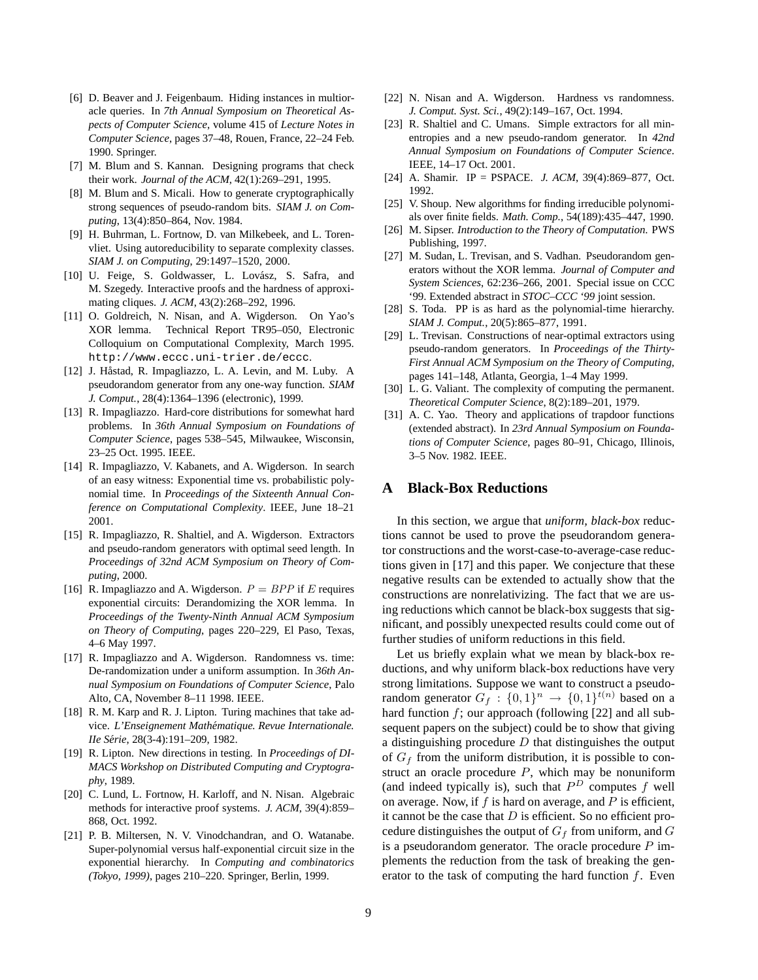- [6] D. Beaver and J. Feigenbaum. Hiding instances in multioracle queries. In *7th Annual Symposium on Theoretical Aspects of Computer Science*, volume 415 of *Lecture Notes in Computer Science*, pages 37–48, Rouen, France, 22–24 Feb. 1990. Springer.
- [7] M. Blum and S. Kannan. Designing programs that check their work. *Journal of the ACM*, 42(1):269–291, 1995.
- [8] M. Blum and S. Micali. How to generate cryptographically strong sequences of pseudo-random bits. *SIAM J. on Computing*, 13(4):850–864, Nov. 1984.
- [9] H. Buhrman, L. Fortnow, D. van Milkebeek, and L. Torenvliet. Using autoreducibility to separate complexity classes. *SIAM J. on Computing*, 29:1497–1520, 2000.
- [10] U. Feige, S. Goldwasser, L. Lovász, S. Safra, and M. Szegedy. Interactive proofs and the hardness of approximating cliques. *J. ACM*, 43(2):268–292, 1996.
- [11] O. Goldreich, N. Nisan, and A. Wigderson. On Yao's XOR lemma. Technical Report TR95–050, Electronic Colloquium on Computational Complexity, March 1995. http://www.eccc.uni-trier.de/eccc.
- [12] J. Håstad, R. Impagliazzo, L. A. Levin, and M. Luby. A pseudorandom generator from any one-way function. *SIAM J. Comput.*, 28(4):1364–1396 (electronic), 1999.
- [13] R. Impagliazzo. Hard-core distributions for somewhat hard problems. In *36th Annual Symposium on Foundations of Computer Science*, pages 538–545, Milwaukee, Wisconsin, 23–25 Oct. 1995. IEEE.
- [14] R. Impagliazzo, V. Kabanets, and A. Wigderson. In search of an easy witness: Exponential time vs. probabilistic polynomial time. In *Proceedings of the Sixteenth Annual Conference on Computational Complexity*. IEEE, June 18–21 2001.
- [15] R. Impagliazzo, R. Shaltiel, and A. Wigderson. Extractors and pseudo-random generators with optimal seed length. In *Proceedings of 32nd ACM Symposium on Theory of Computing*, 2000.
- [16] R. Impagliazzo and A. Wigderson.  $P = BPP$  if E requires exponential circuits: Derandomizing the XOR lemma. In *Proceedings of the Twenty-Ninth Annual ACM Symposium on Theory of Computing*, pages 220–229, El Paso, Texas, 4–6 May 1997.
- [17] R. Impagliazzo and A. Wigderson. Randomness vs. time: De-randomization under a uniform assumption. In *36th Annual Symposium on Foundations of Computer Science*, Palo Alto, CA, November 8–11 1998. IEEE.
- [18] R. M. Karp and R. J. Lipton. Turing machines that take advice. L'Enseignement Mathématique. Revue Internationale. *IIe S´erie*, 28(3-4):191–209, 1982.
- [19] R. Lipton. New directions in testing. In *Proceedings of DI-MACS Workshop on Distributed Computing and Cryptography*, 1989.
- [20] C. Lund, L. Fortnow, H. Karloff, and N. Nisan. Algebraic methods for interactive proof systems. *J. ACM*, 39(4):859– 868, Oct. 1992.
- [21] P. B. Miltersen, N. V. Vinodchandran, and O. Watanabe. Super-polynomial versus half-exponential circuit size in the exponential hierarchy. In *Computing and combinatorics (Tokyo, 1999)*, pages 210–220. Springer, Berlin, 1999.
- [22] N. Nisan and A. Wigderson. Hardness vs randomness. *J. Comput. Syst. Sci.*, 49(2):149–167, Oct. 1994.
- [23] R. Shaltiel and C. Umans. Simple extractors for all minentropies and a new pseudo-random generator. In *42nd Annual Symposium on Foundations of Computer Science*. IEEE, 14–17 Oct. 2001.
- [24] A. Shamir. IP = PSPACE. *J. ACM*, 39(4):869–877, Oct. 1992.
- [25] V. Shoup. New algorithms for finding irreducible polynomials over finite fields. *Math. Comp.*, 54(189):435–447, 1990.
- [26] M. Sipser. *Introduction to the Theory of Computation*. PWS Publishing, 1997.
- [27] M. Sudan, L. Trevisan, and S. Vadhan. Pseudorandom generators without the XOR lemma. *Journal of Computer and System Sciences*, 62:236–266, 2001. Special issue on CCC '99. Extended abstract in *STOC–CCC '99* joint session.
- [28] S. Toda. PP is as hard as the polynomial-time hierarchy. *SIAM J. Comput.*, 20(5):865–877, 1991.
- [29] L. Trevisan. Constructions of near-optimal extractors using pseudo-random generators. In *Proceedings of the Thirty-First Annual ACM Symposium on the Theory of Computing*, pages 141–148, Atlanta, Georgia, 1–4 May 1999.
- [30] L. G. Valiant. The complexity of computing the permanent. *Theoretical Computer Science*, 8(2):189–201, 1979.
- [31] A. C. Yao. Theory and applications of trapdoor functions (extended abstract). In *23rd Annual Symposium on Foundations of Computer Science*, pages 80–91, Chicago, Illinois, 3–5 Nov. 1982. IEEE.

### **A Black-Box Reductions**

In this section, we argue that *uniform, black-box* reductions cannot be used to prove the pseudorandom generator constructions and the worst-case-to-average-case reductions given in [17] and this paper. We conjecture that these negative results can be extended to actually show that the constructions are nonrelativizing. The fact that we are using reductions which cannot be black-box suggests that significant, and possibly unexpected results could come out of further studies of uniform reductions in this field.

Let us briefly explain what we mean by black-box reductions, and why uniform black-box reductions have very strong limitations. Suppose we want to construct a pseudorandom generator  $G_f : \{0,1\}^n \rightarrow \{0,1\}^{t(n)}$  based on a hard function  $f$ ; our approach (following [22] and all subsequent papers on the subject) could be to show that giving a distinguishing procedure  $D$  that distinguishes the output of  $G_f$  from the uniform distribution, it is possible to construct an oracle procedure  $P$ , which may be nonuniform (and indeed typically is), such that  $P<sup>D</sup>$  computes f well on average. Now, if  $f$  is hard on average, and  $P$  is efficient, it cannot be the case that  $D$  is efficient. So no efficient procedure distinguishes the output of  $G_f$  from uniform, and  $G$ is a pseudorandom generator. The oracle procedure  $P$  implements the reduction from the task of breaking the generator to the task of computing the hard function  $f$ . Even